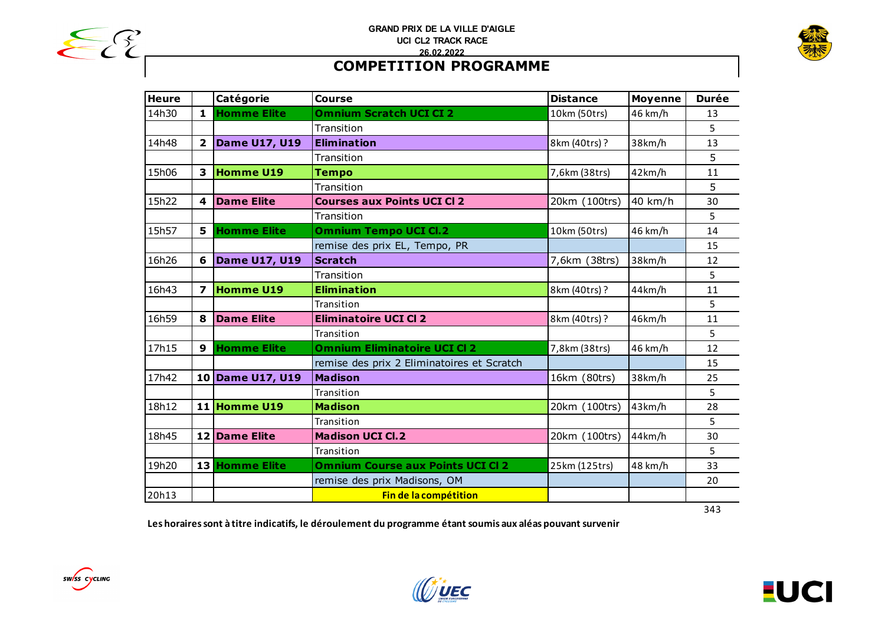



# **COMPETITION PROGRAMME**

| <b>Heure</b> |                         | Catégorie            | <b>Course</b>                              | <b>Distance</b> | <b>Moyenne</b> | <b>Durée</b> |
|--------------|-------------------------|----------------------|--------------------------------------------|-----------------|----------------|--------------|
| 14h30        | 1                       | <b>Homme Elite</b>   | <b>Omnium Scratch UCI CI 2</b>             | 10km (50trs)    | 46 km/h        | 13           |
|              |                         |                      | Transition                                 |                 |                | 5            |
| 14h48        | $\overline{2}$          | <b>Dame U17, U19</b> | <b>Elimination</b>                         | 8km (40trs)?    | 38km/h         | 13           |
|              |                         |                      | Transition                                 |                 |                | 5            |
| 15h06        | 3                       | <b>Homme U19</b>     | <b>Tempo</b>                               | 7,6km (38trs)   | 42km/h         | 11           |
|              |                         |                      | Transition                                 |                 |                | 5            |
| 15h22        | $\overline{\mathbf{A}}$ | <b>Dame Elite</b>    | <b>Courses aux Points UCI CI 2</b>         | 20km (100trs)   | 40 km/h        | 30           |
|              |                         |                      | Transition                                 |                 |                | 5            |
| 15h57        | 5                       | <b>Homme Elite</b>   | <b>Omnium Tempo UCI Cl.2</b>               | 10km (50trs)    | 46 km/h        | 14           |
|              |                         |                      | remise des prix EL, Tempo, PR              |                 |                | 15           |
| 16h26        | 6                       | <b>Dame U17, U19</b> | <b>Scratch</b>                             | 7,6km (38trs)   | 38km/h         | 12           |
|              |                         |                      | Transition                                 |                 |                | 5            |
| 16h43        | 7                       | <b>Homme U19</b>     | <b>Elimination</b>                         | 8km (40trs)?    | 44km/h         | 11           |
|              |                         |                      | Transition                                 |                 |                | 5            |
| 16h59        | 8                       | <b>Dame Elite</b>    | <b>Eliminatoire UCI CI 2</b>               | 8km (40trs)?    | 46km/h         | 11           |
|              |                         |                      | Transition                                 |                 |                | 5            |
| 17h15        | 9                       | <b>Homme Elite</b>   | <b>Omnium Eliminatoire UCI CI 2</b>        | 7,8km (38trs)   | 46 km/h        | 12           |
|              |                         |                      | remise des prix 2 Eliminatoires et Scratch |                 |                | 15           |
| 17h42        |                         | 10 Dame U17, U19     | <b>Madison</b>                             | 16km (80trs)    | 38km/h         | 25           |
|              |                         |                      | Transition                                 |                 |                | 5            |
| 18h12        |                         | 11 Homme U19         | <b>Madison</b>                             | 20km (100trs)   | 43km/h         | 28           |
|              |                         |                      | Transition                                 |                 |                | 5            |
| 18h45        |                         | 12 Dame Elite        | <b>Madison UCI Cl.2</b>                    | 20km (100trs)   | 44km/h         | 30           |
|              |                         |                      | Transition                                 |                 |                | 5            |
| 19h20        |                         | 13 Homme Elite       | <b>Omnium Course aux Points UCI CI 2</b>   | 25km (125trs)   | 48 km/h        | 33           |
|              |                         |                      | remise des prix Madisons, OM               |                 |                | 20           |
| 20h13        |                         |                      | Fin de la compétition                      |                 |                |              |
|              |                         |                      |                                            |                 |                | 343          |

**Les horaires sont à titre indicatifs, le déroulement du programme étant soumis aux aléas pouvant survenir**



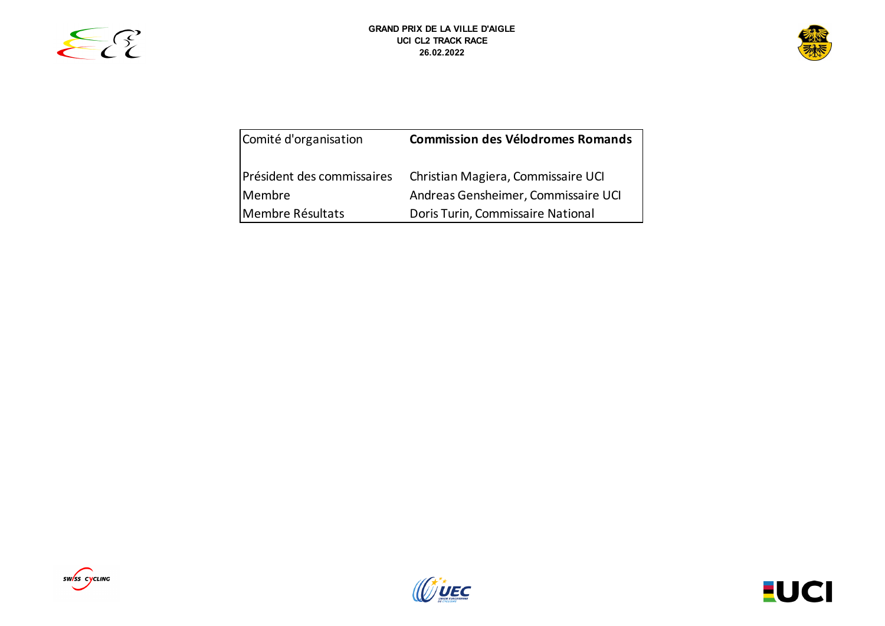



| Comité d'organisation                | <b>Commission des Vélodromes Romands</b>                                  |
|--------------------------------------|---------------------------------------------------------------------------|
| Président des commissaires<br>Membre | Christian Magiera, Commissaire UCI<br>Andreas Gensheimer, Commissaire UCI |
| Membre Résultats                     | Doris Turin, Commissaire National                                         |





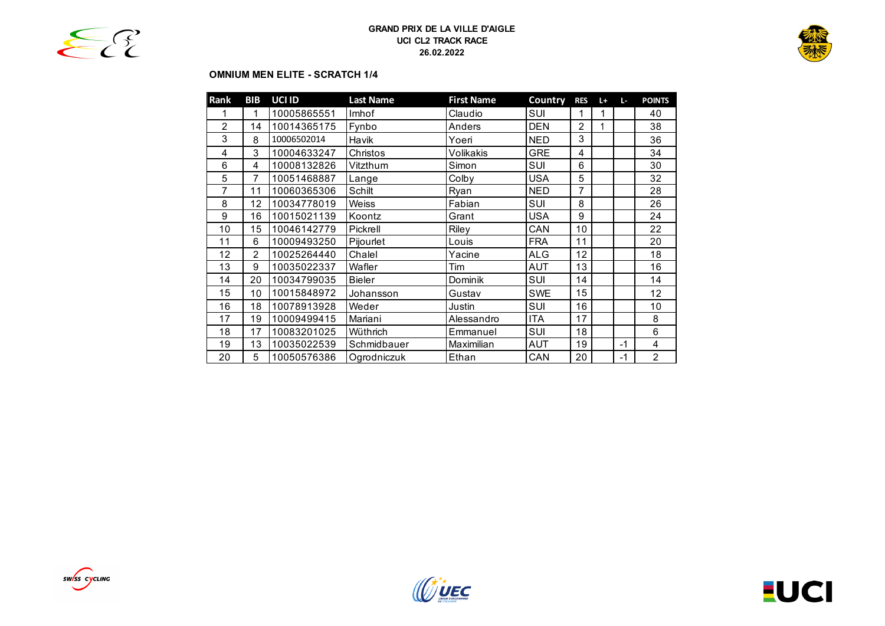



# **OMNIUM MEN ELITE - SCRATCH 1/4**

| Rank | BIB            | UCI ID      | <b>Last Name</b> | <b>First Name</b> | Country    | <b>RES</b>     | $L +$ | L-   | <b>POINTS</b>  |
|------|----------------|-------------|------------------|-------------------|------------|----------------|-------|------|----------------|
|      |                | 10005865551 | Imhof            | Claudio           | SUI        | 1              | 1     |      | 40             |
| 2    | 14             | 10014365175 | Fynbo            | Anders            | <b>DEN</b> | $\overline{2}$ |       |      | 38             |
| 3    | 8              | 10006502014 | Havik            | Yoeri             | <b>NED</b> | 3              |       |      | 36             |
| 4    | 3              | 10004633247 | Christos         | Volikakis         | <b>GRE</b> | 4              |       |      | 34             |
| 6    | 4              | 10008132826 | Vitzthum         | Simon             | SUI        | 6              |       |      | 30             |
| 5    | 7              | 10051468887 | Lange            | Colby             | <b>USA</b> | 5              |       |      | 32             |
| 7    | 11             | 10060365306 | Schilt           | <b>Ryan</b>       | <b>NED</b> | 7              |       |      | 28             |
| 8    | 12             | 10034778019 | Weiss            | Fabian            | SUI        | 8              |       |      | 26             |
| 9    | 16             | 10015021139 | Koontz           | Grant             | <b>USA</b> | 9              |       |      | 24             |
| 10   | 15             | 10046142779 | Pickrell         | Riley             | CAN        | 10             |       |      | 22             |
| 11   | 6              | 10009493250 | Pijourlet        | Louis             | <b>FRA</b> | 11             |       |      | 20             |
| 12   | $\mathfrak{p}$ | 10025264440 | Chalel           | Yacine            | ALG        | 12             |       |      | 18             |
| 13   | 9              | 10035022337 | Wafler           | Tim               | <b>AUT</b> | 13             |       |      | 16             |
| 14   | 20             | 10034799035 | <b>Bieler</b>    | Dominik           | SUI        | 14             |       |      | 14             |
| 15   | 10             | 10015848972 | Johansson        | Gustav            | <b>SWE</b> | 15             |       |      | 12             |
| 16   | 18             | 10078913928 | Weder            | Justin            | SUI        | 16             |       |      | 10             |
| 17   | 19             | 10009499415 | Mariani          | Alessandro        | <b>ITA</b> | 17             |       |      | 8              |
| 18   | 17             | 10083201025 | Wüthrich         | Emmanuel          | SUI        | 18             |       |      | 6              |
| 19   | 13             | 10035022539 | Schmidbauer      | Maximilian        | AUT        | 19             |       | $-1$ | 4              |
| 20   | 5              | 10050576386 | Ogrodniczuk      | Ethan             | CAN        | 20             |       | $-1$ | $\overline{2}$ |





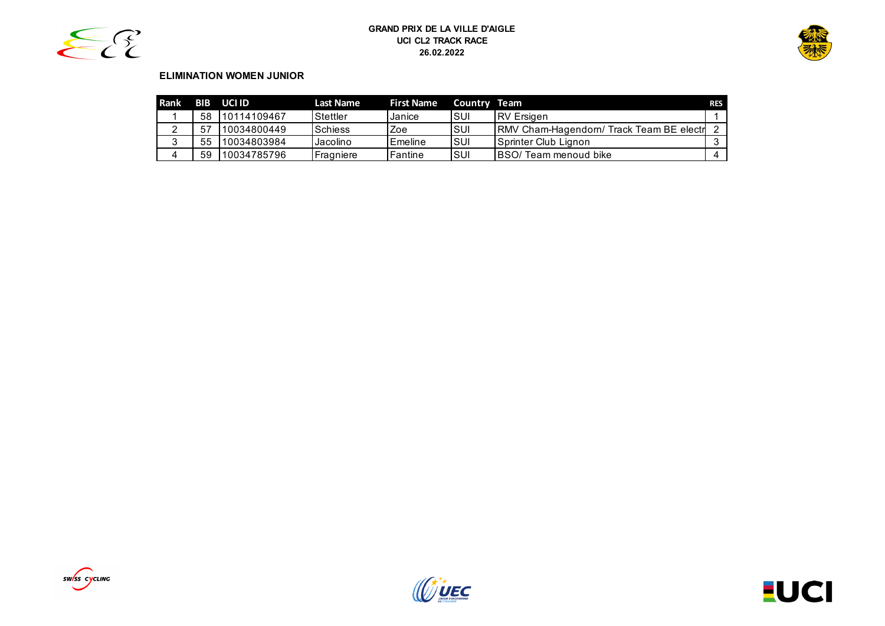



# **ELIMINATION WOMEN JUNIOR**

| Rank |    | BIB UCI ID  | <b>Last Name</b> | <b>First Name</b> | Country Team |                                                | <b>RES</b> |
|------|----|-------------|------------------|-------------------|--------------|------------------------------------------------|------------|
|      | 58 | 10114109467 | Stettler         | Janice            | ISUI         | <b>IRV</b> Ersigen                             |            |
|      | 57 | 10034800449 | Schiess          | Zoe               | ISUI         | <b>RMV Cham-Hagendom/ Track Team BE electr</b> |            |
| ◠    | 55 | 10034803984 | Jacolino         | Emeline           | ISUI         | <b>Sprinter Club Lignon</b>                    |            |
| 4    | 59 | 10034785796 | Fragniere        | lFantine          | ISUI         | <b>IBSO/ Team menoud bike</b>                  |            |





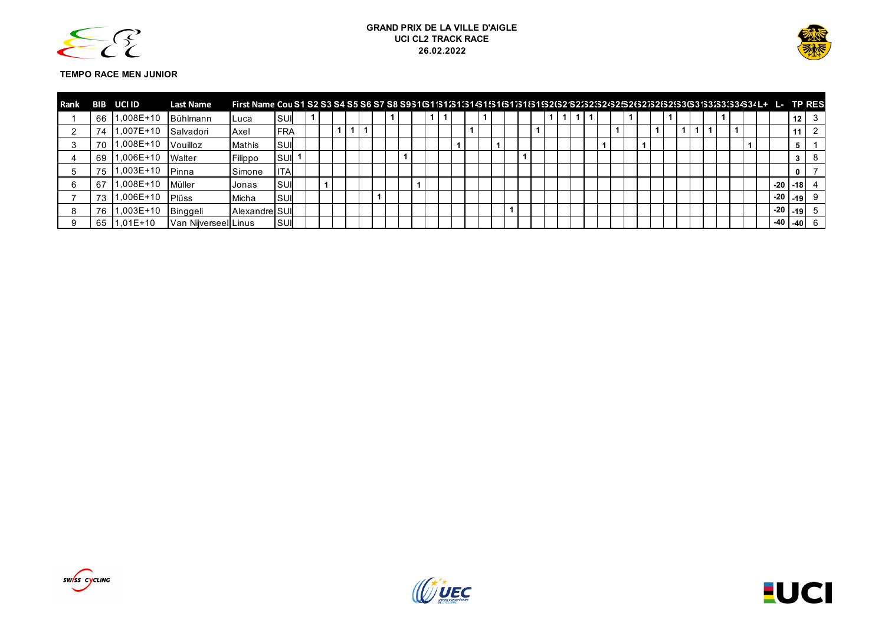



#### **TEMPO RACE MEN JUNIOR**

| Rank | BIB | UCI ID      | <b>Last Name</b>     |               |             |  |  |  |  |  |  |  |  |  |  |  |  |  |  |  |  |  |       |               |         |  |
|------|-----|-------------|----------------------|---------------|-------------|--|--|--|--|--|--|--|--|--|--|--|--|--|--|--|--|--|-------|---------------|---------|--|
|      | 66  | 1,008E+10   | Bühlmann             | Luca          | <b>ISUI</b> |  |  |  |  |  |  |  |  |  |  |  |  |  |  |  |  |  |       | 12            |         |  |
|      | 74  | $1.007E+10$ | Salvadori            | Axel          | <b>IFRA</b> |  |  |  |  |  |  |  |  |  |  |  |  |  |  |  |  |  |       |               |         |  |
|      | 70  | :008E+10, ا | Vouilloz             | Mathis        | ISUI        |  |  |  |  |  |  |  |  |  |  |  |  |  |  |  |  |  |       |               |         |  |
|      | 69  | 1.006E+10   | Walter               | Filippo       | ISUI        |  |  |  |  |  |  |  |  |  |  |  |  |  |  |  |  |  |       |               |         |  |
|      | 75  | :003E+10, ا | <b>I</b> Pinna       | Simone        | <b>ITA</b>  |  |  |  |  |  |  |  |  |  |  |  |  |  |  |  |  |  |       |               |         |  |
|      | -67 | 1.008E+10   | Müller               | Jonas         | ISUI        |  |  |  |  |  |  |  |  |  |  |  |  |  |  |  |  |  | $-20$ |               | $-18$ 4 |  |
|      | 73  | :006E+10, ا | Plüss                | Micha         | <b>ISUI</b> |  |  |  |  |  |  |  |  |  |  |  |  |  |  |  |  |  | $-20$ |               | $-19$ 9 |  |
|      | 76  | $1.003E+10$ | Binggeli             | Alexandre SUI |             |  |  |  |  |  |  |  |  |  |  |  |  |  |  |  |  |  | $-20$ |               | $-19$ 5 |  |
|      | 65  | 1.01E+10    | Van Nijverseel Linus |               | <b>SUI</b>  |  |  |  |  |  |  |  |  |  |  |  |  |  |  |  |  |  |       | $-40$ $-40$ 6 |         |  |



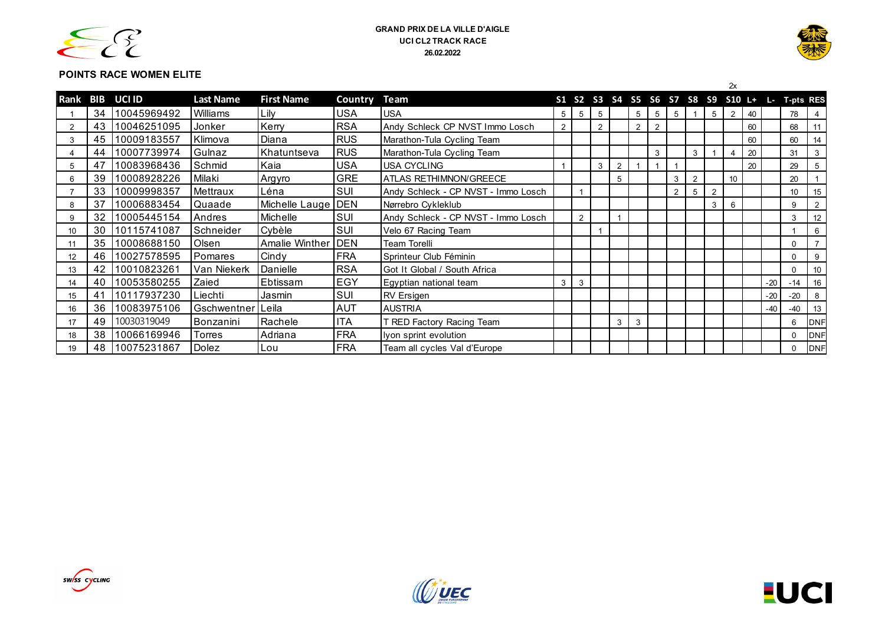



# **POINTS RACE WOMEN ELITE**

|      |     |               |                  |                       |              |                                     |                 |                |   |                |                |   |   |   |   | 2x |                                      |       |                  |                |
|------|-----|---------------|------------------|-----------------------|--------------|-------------------------------------|-----------------|----------------|---|----------------|----------------|---|---|---|---|----|--------------------------------------|-------|------------------|----------------|
| Rank | BIB | <b>UCI ID</b> | <b>Last Name</b> | <b>First Name</b>     | Country Team |                                     |                 |                |   |                |                |   |   |   |   |    | S1 S2 S3 S4 S5 S6 S7 S8 S9 S10 L+ L- |       | <b>T-pts RES</b> |                |
|      | 34  | 10045969492   | Williams         | Lily                  | USA          | <b>USA</b>                          | $5\overline{)}$ | 5              | 5 |                | 5              | 5 | 5 |   | 5 | 2  | 40                                   |       | 78               | 4              |
| 2    | 43  | 10046251095   | Jonker           | Kerry                 | <b>RSA</b>   | Andy Schleck CP NVST Immo Losch     | $\overline{2}$  |                | 2 |                | $\overline{2}$ | 2 |   |   |   |    | 60                                   |       | 68               | 11             |
| 3    | 45  | 10009183557   | Klimova          | Diana                 | <b>RUS</b>   | Marathon-Tula Cycling Team          |                 |                |   |                |                |   |   |   |   |    | 60                                   |       | 60               | 14             |
|      | 44  | 10007739974   | Gulnaz           | Khatuntseva           | <b>RUS</b>   | Marathon-Tula Cycling Team          |                 |                |   |                |                | 3 |   | 3 |   |    | 20                                   |       | 31               | 3              |
| 5    | 47  | 10083968436   | Schmid           | Kaia                  | <b>USA</b>   | <b>USA CYCLING</b>                  |                 |                | 3 | $\overline{2}$ |                |   |   |   |   |    | 20                                   |       | 29               | 5              |
| 6    | 39  | 10008928226   | Milaki           | Argyro                | <b>GRE</b>   | ATLAS RETHIMNON/GREECE              |                 |                |   | 5              |                |   | 3 | 2 |   | 10 |                                      |       | 20               |                |
|      | 33  | 10009998357   | Mettraux         | Léna                  | SUI          | Andy Schleck - CP NVST - Immo Losch |                 |                |   |                |                |   | 2 | 5 | 2 |    |                                      |       | 10               | 15             |
| 8    | 37  | 10006883454   | Quaade           | Michelle Lauge   DEN  |              | Nørrebro Cykleklub                  |                 |                |   |                |                |   |   |   | 3 | 6  |                                      |       | 9                | $\overline{2}$ |
| 9    | 32  | 10005445154   | Andres           | Michelle              | SUI          | Andy Schleck - CP NVST - Immo Losch |                 | $\overline{2}$ |   |                |                |   |   |   |   |    |                                      |       | 3                | 12             |
| 10   | 30  | 10115741087   | Schneider        | Cybèle                | SUI          | Velo 67 Racing Team                 |                 |                |   |                |                |   |   |   |   |    |                                      |       |                  | 6              |
|      | 35  | 10008688150   | Olsen            | <b>Amalie Winther</b> | <b>DEN</b>   | <b>Team Torelli</b>                 |                 |                |   |                |                |   |   |   |   |    |                                      |       | $\mathbf{0}$     |                |
| 12   | 46  | 10027578595   | Pomares          | Cindy                 | <b>FRA</b>   | Sprinteur Club Féminin              |                 |                |   |                |                |   |   |   |   |    |                                      |       | $\mathbf{0}$     | 9              |
| 13   | 42  | 10010823261   | Van Niekerk      | Danielle              | <b>RSA</b>   | Got It Global / South Africa        |                 |                |   |                |                |   |   |   |   |    |                                      |       | $\Omega$         | 10             |
| 14   | 40  | 10053580255   | Zaied            | Ebtissam              | EGY          | Egyptian national team              | 3               | 3              |   |                |                |   |   |   |   |    |                                      | $-20$ | $-14$            | 16             |
| 15   | 41  | 10117937230   | Liechti          | Jasmin                | SUI          | <b>RV Ersigen</b>                   |                 |                |   |                |                |   |   |   |   |    |                                      | $-20$ | $-20$            | 8              |
| 16   | 36  | 10083975106   | Gschwentner      | Leila                 | <b>AUT</b>   | <b>AUSTRIA</b>                      |                 |                |   |                |                |   |   |   |   |    |                                      | $-40$ | -40              | 13             |
| 17   | 49  | 10030319049   | Bonzanini        | Rachele               | <b>ITA</b>   | T RED Factory Racing Team           |                 |                |   | 3              | 3              |   |   |   |   |    |                                      |       | 6                | DNF            |
|      | 38  | 10066169946   | Torres           | Adriana               | <b>FRA</b>   | lyon sprint evolution               |                 |                |   |                |                |   |   |   |   |    |                                      |       | $\Omega$         | DNF            |
| 19   | 48  | 10075231867   | Dolez            | Lou                   | <b>FRA</b>   | Team all cycles Val d'Europe        |                 |                |   |                |                |   |   |   |   |    |                                      |       |                  | <b>IDNF</b>    |



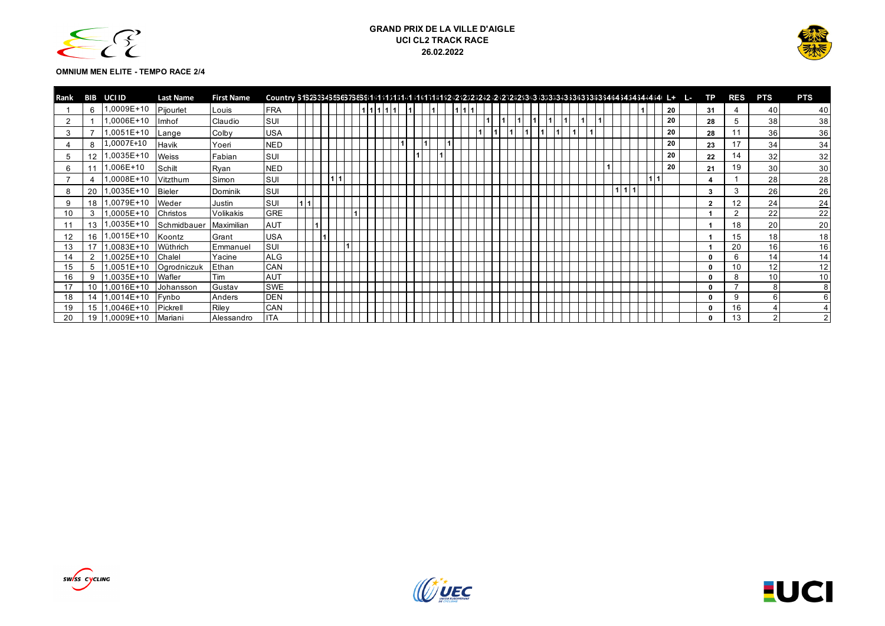



#### **OMNIUM MEN ELITE - TEMPO RACE 2/4**

| Rank | BIB | UCI ID      | <b>Last Name</b> | <b>First Name</b> |            |  |  |  |  |  |  |  |  |  |  |  |  |  |    | - 15 | ТP           | <b>RES</b> | <b>PTS</b>    | <b>PTS</b> |
|------|-----|-------------|------------------|-------------------|------------|--|--|--|--|--|--|--|--|--|--|--|--|--|----|------|--------------|------------|---------------|------------|
|      | 6   | .0009E+10   | Pijourlet        | Louis             | FRA        |  |  |  |  |  |  |  |  |  |  |  |  |  | 20 |      | 31           |            | 40            | 40         |
| ◠    |     | ,0006E+10   | Imhof            | Claudio           | <b>SUI</b> |  |  |  |  |  |  |  |  |  |  |  |  |  | 20 |      | 28           |            | 38            | 38         |
| 3    |     | ,0051E+10   | Lange            | Colby             | <b>USA</b> |  |  |  |  |  |  |  |  |  |  |  |  |  | 20 |      | 28           | 11         | 36            | 36         |
|      | 8   | ,0007E+10   | Havik            | Yoeri             | <b>NED</b> |  |  |  |  |  |  |  |  |  |  |  |  |  | 20 |      | 23           | 17         | 34            | 34         |
| 5    |     | ,0035E+10   | Weiss            | Fabian            | SUI        |  |  |  |  |  |  |  |  |  |  |  |  |  | 20 |      | 22           | 14         | 32            | 32         |
| 6    |     | $,006E+10$  | Schilt           | Ryan              | <b>NED</b> |  |  |  |  |  |  |  |  |  |  |  |  |  | 20 |      | 21           | 19         | 30            | 30         |
|      |     | ,0008E+10   | Vitzthum         | Simon             | <b>SUI</b> |  |  |  |  |  |  |  |  |  |  |  |  |  |    |      |              |            | 28            | 28         |
|      | 20  | ,0035E+10   | Bieler           | Dominik           | SUI        |  |  |  |  |  |  |  |  |  |  |  |  |  |    |      | 3            |            | 26            | 26         |
| 9    | 18  | ,0079E+10   | Weder            | Justin            | SUI        |  |  |  |  |  |  |  |  |  |  |  |  |  |    |      | $\cdot$      | 12         | 24            | 24         |
| 10   | 3   | ,0005E+10   | Christos         | Volikakis         | <b>GRE</b> |  |  |  |  |  |  |  |  |  |  |  |  |  |    |      |              | $\Omega$   | 22            | 22         |
| 11   | 13  | ,0035E+10   | Schmidbauer      | Maximilian        | <b>AUT</b> |  |  |  |  |  |  |  |  |  |  |  |  |  |    |      |              | 18         | 20            | 20         |
| 12   | 16  | $,0015E+10$ | Koontz           | Grant             | <b>USA</b> |  |  |  |  |  |  |  |  |  |  |  |  |  |    |      |              | 15         | 18            | 18         |
| 13   |     | ,0083E+10   | Wüthrich         | Emmanuel          | SUI        |  |  |  |  |  |  |  |  |  |  |  |  |  |    |      |              | 20         | 16            | 16         |
| 14   | 2   | ,0025E+10   | Chalel           | Yacine            | <b>ALG</b> |  |  |  |  |  |  |  |  |  |  |  |  |  |    |      | $\Omega$     |            | 14            | 14         |
| 15   |     | ,0051E+10   | Ogrodniczuk      | Ethan             | CAN        |  |  |  |  |  |  |  |  |  |  |  |  |  |    |      | $\Omega$     | 10         | 12            | 12         |
| 16   | 9   | ,0035E+10   | Wafler           | Tim               | AUT        |  |  |  |  |  |  |  |  |  |  |  |  |  |    |      | $\Omega$     |            | 10            | 10         |
|      |     | ,0016E+10   | Johansson        | Gustav            | <b>SWE</b> |  |  |  |  |  |  |  |  |  |  |  |  |  |    |      | $\Omega$     |            |               |            |
| 18   |     | .0014E+10   | Fynbo            | Anders            | DEN        |  |  |  |  |  |  |  |  |  |  |  |  |  |    |      | $\Omega$     | 9          |               |            |
| 19   | 15  | ,0046E+10   | Pickrell         | Riley             | CAN        |  |  |  |  |  |  |  |  |  |  |  |  |  |    |      | $\Omega$     | 16         |               |            |
| 20   | 19  | 1,0009E+10  | Mariani          | Alessandro        | <b>ITA</b> |  |  |  |  |  |  |  |  |  |  |  |  |  |    |      | $\mathbf{r}$ | 13         | $\mathcal{P}$ |            |



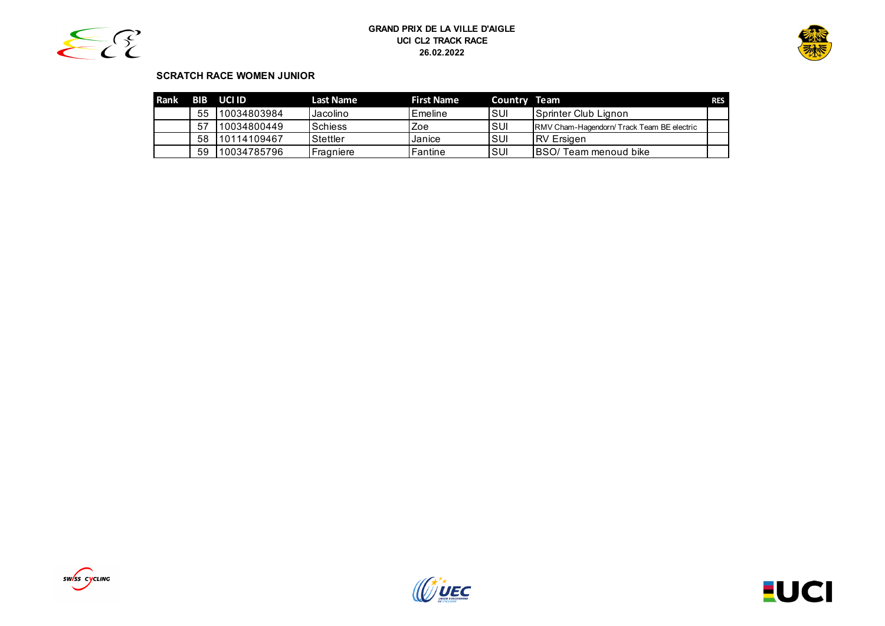



# **SCRATCH RACE WOMEN JUNIOR**

| <b>Rank</b> |     | BIB UCI ID  | Last Name      | <b>First Name</b> | Country Team |                                            | <b>RES</b> |
|-------------|-----|-------------|----------------|-------------------|--------------|--------------------------------------------|------------|
|             | 55  | 10034803984 | Jacolino       | Emeline           | ISUI         | <b>Sprinter Club Lignon</b>                |            |
|             | -57 | 10034800449 | <b>Schiess</b> | Zoe               | ISUI         | RMV Cham-Hagendorn/ Track Team BE electric |            |
|             | 58  | 10114109467 | Stettler       | Janice            | ISUI         | <b>IRV</b> Ersigen                         |            |
|             | 59  | 10034785796 | Fragniere      | Fantine           | ISUI         | <b>IBSO/ Team menoud bike</b>              |            |





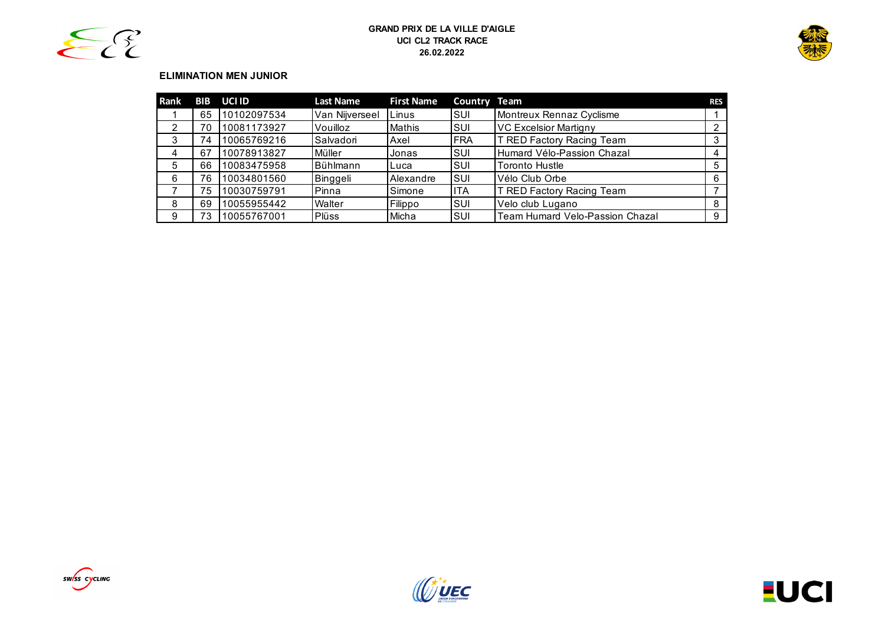



# **ELIMINATION MEN JUNIOR**

| <b>Rank</b> | <b>BIB</b> | <b>UCI ID</b> | <b>Last Name</b> | <b>First Name</b> | <b>Country Team</b> |                                        | <b>RES</b> |
|-------------|------------|---------------|------------------|-------------------|---------------------|----------------------------------------|------------|
|             | 65         | 10102097534   | Van Nijverseel   | Linus             | <b>SUI</b>          | Montreux Rennaz Cyclisme               |            |
| 2           | 70         | 10081173927   | Vouilloz         | Mathis            | ISUI                | <b>VC Excelsior Martigny</b>           |            |
| 3           | 74         | 10065769216   | Salvadori        | Axel              | IFRA                | T RED Factory Racing Team              |            |
| 4           | 67         | 10078913827   | Müller           | Jonas             | ISUI                | Humard Vélo-Passion Chazal             |            |
| 5           | 66         | 10083475958   | Bühlmann         | Luca              | ISUI                | <b>Toronto Hustle</b>                  | 5          |
| 6           | 76         | 10034801560   | Binggeli         | Alexandre         | <b>SUI</b>          | Vélo Club Orbe                         | 6          |
|             | 75         | 10030759791   | Pinna            | Simone            | lita                | T RED Factory Racing Team              |            |
| 8           | 69         | 10055955442   | Walter           | Filippo           | ISUI                | Velo club Lugano                       | 8          |
| 9           | 73         | 10055767001   | Plüss            | Micha             | <b>SUI</b>          | <b>Team Humard Velo-Passion Chazal</b> | 9          |





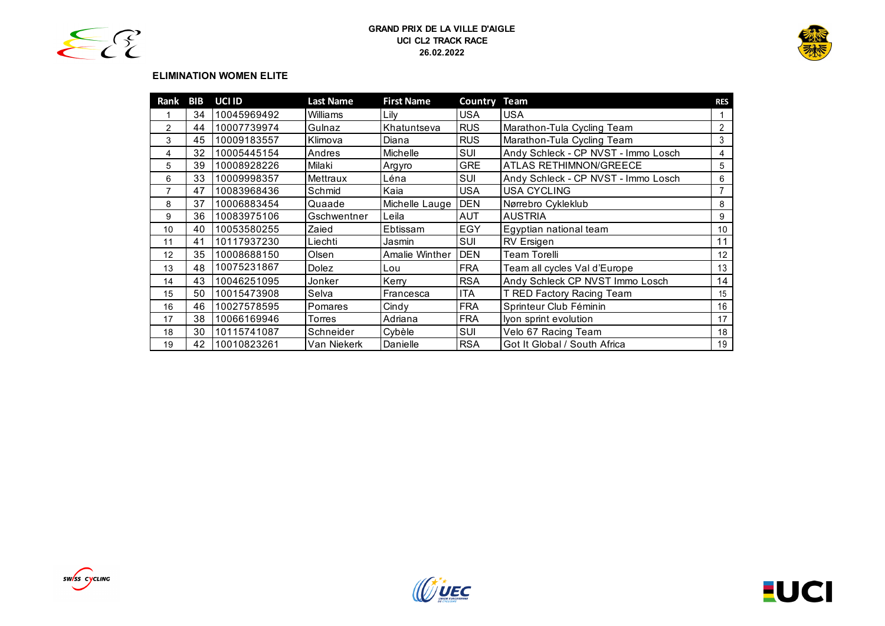



# **ELIMINATION WOMEN ELITE**

| Rank           | BIB | UCI ID      | <b>Last Name</b> | <b>First Name</b> | <b>Country Team</b> |                                     | <b>RES</b>      |
|----------------|-----|-------------|------------------|-------------------|---------------------|-------------------------------------|-----------------|
|                | 34  | 10045969492 | Williams         | Lilv              | <b>USA</b>          | <b>USA</b>                          |                 |
| $\overline{2}$ | 44  | 10007739974 | Gulnaz           | Khatuntseva       | <b>RUS</b>          | Marathon-Tula Cycling Team          | $\overline{2}$  |
| 3              | 45  | 10009183557 | Klimova          | Diana             | <b>RUS</b>          | Marathon-Tula Cycling Team          | 3               |
| 4              | 32  | 10005445154 | Andres           | <b>Michelle</b>   | SUI                 | Andy Schleck - CP NVST - Immo Losch | 4               |
| 5              | 39  | 10008928226 | Milaki           | Argyro            | <b>GRE</b>          | ATLAS RETHIMNON/GREECE              | 5               |
| 6              | 33  | 10009998357 | Mettraux         | Léna              | SUI                 | Andy Schleck - CP NVST - Immo Losch | 6               |
| 7              | 47  | 10083968436 | Schmid           | Kaia              | <b>USA</b>          | <b>USA CYCLING</b>                  |                 |
| 8              | 37  | 10006883454 | Quaade           | Michelle Lauge    | <b>IDEN</b>         | Nørrebro Cykleklub                  | 8               |
| 9              | 36  | 10083975106 | Gschwentner      | Leila             | <b>AUT</b>          | <b>AUSTRIA</b>                      | 9               |
| 10             | 40  | 10053580255 | Zaied            | Ebtissam          | EGY                 | Egyptian national team              | 10 <sup>°</sup> |
| 11             | 41  | 10117937230 | Liechti          | Jasmin            | SUI                 | <b>RV</b> Ersigen                   | 11              |
| 12             | 35  | 10008688150 | Olsen            | Amalie Winther    | <b>DEN</b>          | Team Torelli                        | 12              |
| 13             | 48  | 10075231867 | Dolez            | Lou               | <b>FRA</b>          | Team all cycles Val d'Europe        | 13              |
| 14             | 43  | 10046251095 | Jonker           | Kerry             | <b>RSA</b>          | Andy Schleck CP NVST Immo Losch     | 14              |
| 15             | 50  | 10015473908 | Selva            | Francesca         | <b>ITA</b>          | T RED Factory Racing Team           | 15              |
| 16             | 46  | 10027578595 | Pomares          | Cindy             | <b>FRA</b>          | Sprinteur Club Féminin              | 16              |
| 17             | 38  | 10066169946 | Torres           | Adriana           | <b>FRA</b>          | Iyon sprint evolution               | 17              |
| 18             | 30  | 10115741087 | Schneider        | Cybèle            | SUI                 | Velo 67 Racing Team                 | 18              |
| 19             | 42  | 10010823261 | Van Niekerk      | Danielle          | <b>RSA</b>          | Got It Global / South Africa        | 19              |





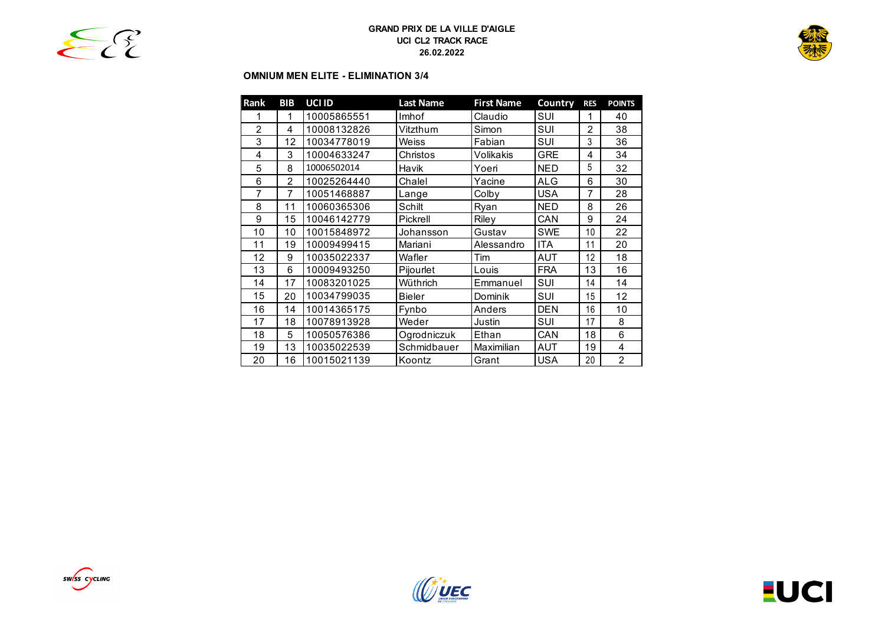

# **OMNIUM MEN ELITE - ELIMINATION 3/4**

| Rank           | <b>BIB</b>     | UCI ID      | <b>Last Name</b> | <b>First Name</b> | Country    | <b>RFS</b>     | <b>POINTS</b>  |
|----------------|----------------|-------------|------------------|-------------------|------------|----------------|----------------|
| 1              | 1              | 10005865551 | Imhof            | Claudio           | SUI        | 1              | 40             |
| $\overline{2}$ | 4              | 10008132826 | Vitzthum         | Simon             | SUI        | $\overline{2}$ | 38             |
| 3              | 12             | 10034778019 | Weiss            | Fabian            | SUI        | 3              | 36             |
| 4              | 3              | 10004633247 | Christos         | Volikakis         | GRE        | 4              | 34             |
| 5              | 8              | 10006502014 | Havik            | Yoeri             | <b>NED</b> | 5              | 32             |
| 6              | $\mathfrak{p}$ | 10025264440 | Chalel           | Yacine            | ALG        | 6              | 30             |
| $\overline{7}$ | 7              | 10051468887 | Lange            | Colby             | USA        | 7              | 28             |
| 8              | 11             | 10060365306 | Schilt           | Ryan              | <b>NED</b> | 8              | 26             |
| 9              | 15             | 10046142779 | Pickrell         | Riley             | CAN        | 9              | 24             |
| 10             | 10             | 10015848972 | Johansson        | Gustav            | <b>SWE</b> | 10             | 22             |
| 11             | 19             | 10009499415 | Mariani          | Alessandro        | ITA        | 11             | 20             |
| 12             | 9              | 10035022337 | Wafler           | Tim               | AUT        | 12             | 18             |
| 13             | 6              | 10009493250 | Pijourlet        | Louis             | <b>FRA</b> | 13             | 16             |
| 14             | 17             | 10083201025 | Wüthrich         | Emmanuel          | SUI        | 14             | 14             |
| 15             | 20             | 10034799035 | <b>Bieler</b>    | Dominik           | SUI        | 15             | 12             |
| 16             | 14             | 10014365175 | Fynbo            | Anders            | DEN        | 16             | 10             |
| 17             | 18             | 10078913928 | Weder            | Justin            | SUI        | 17             | 8              |
| 18             | 5              | 10050576386 | Ogrodniczuk      | Ethan             | CAN        | 18             | 6              |
| 19             | 13             | 10035022539 | Schmidbauer      | Maximilian        | AUT        | 19             | 4              |
| 20             | 16             | 10015021139 | Koontz           | Grant             | USA        | 20             | $\overline{2}$ |





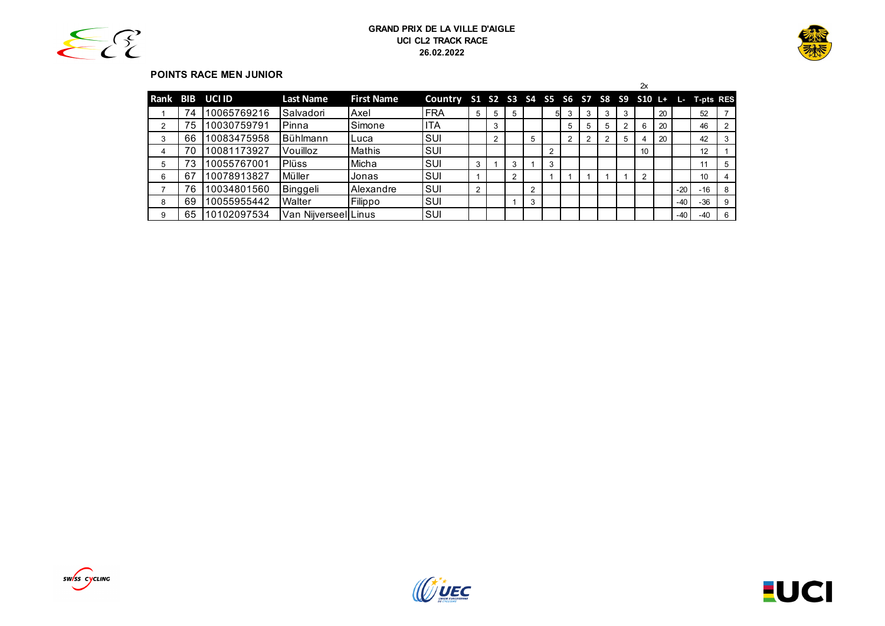



# **POINTS RACE MEN JUNIOR**

|   |    |                 |                      |                   |                                                        |   |                |   |                |    |   |   |   |   | 2x              |    |       |       |  |
|---|----|-----------------|----------------------|-------------------|--------------------------------------------------------|---|----------------|---|----------------|----|---|---|---|---|-----------------|----|-------|-------|--|
|   |    | Rank BIB UCI ID | <b>Last Name</b>     | <b>First Name</b> | Country S1 S2 S3 S4 S5 S6 S7 S8 S9 S10 L+ L- T-pts RES |   |                |   |                |    |   |   |   |   |                 |    |       |       |  |
|   | 74 | 10065769216     | Salvadori            | Axel              | <b>FRA</b>                                             | 5 | 5              | 5 |                | 51 | 3 | 3 | 3 |   |                 | 20 |       | 52    |  |
| 2 | 75 | 10030759791     | <b>Pinna</b>         | Simone            | IITA                                                   |   | 3              |   |                |    | 5 | 5 | 5 |   | 6               | 20 |       | 46    |  |
| 3 | 66 | 10083475958     | <b>Bühlmann</b>      | ILuca             | <b>SUI</b>                                             |   | $\overline{2}$ |   | 5              |    | ◠ |   |   | 5 |                 | 20 |       | 42    |  |
| 4 | 70 | 10081173927     | Vouilloz             | <b>Mathis</b>     | SUI                                                    |   |                |   |                | 2  |   |   |   |   | 10 <sup>°</sup> |    |       | 12    |  |
| 5 |    | 10055767001     | <b>Plüss</b>         | Micha             | <b>SUI</b>                                             | 3 |                | 3 |                | 3  |   |   |   |   |                 |    |       | 11    |  |
| 6 | 67 | 10078913827     | Müller               | Jonas             | <b>SUI</b>                                             |   |                | 2 |                |    |   |   |   |   | C               |    |       | 10    |  |
|   | 76 | 10034801560     | Binggeli             | Alexandre         | ISUI                                                   | 2 |                |   | $\overline{2}$ |    |   |   |   |   |                 |    | $-20$ | $-16$ |  |
| 8 | 69 | 10055955442     | Walter               | Filippo           | <b>SUI</b>                                             |   |                |   | 3              |    |   |   |   |   |                 |    | $-40$ | -36   |  |
| 9 | 65 | 10102097534     | Van Nijverseel Linus |                   | SUI                                                    |   |                |   |                |    |   |   |   |   |                 |    | $-40$ | $-40$ |  |





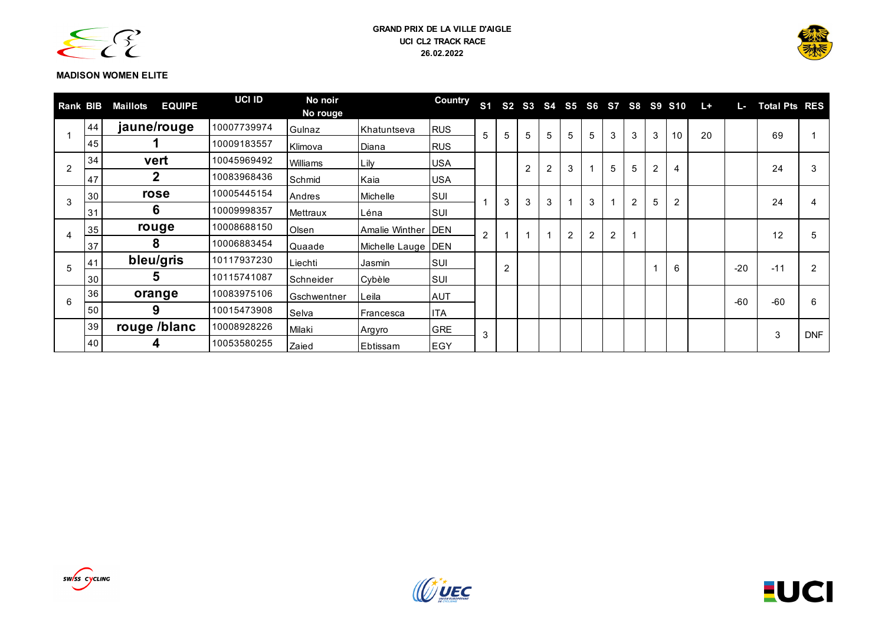



# **MADISON WOMEN ELITE**

| <b>Rank BIB</b> |    | <b>EQUIPE</b><br>Maillots | <b>UCI ID</b> | No noir<br>No rouge |                      | <b>Country</b> | S <sub>1</sub> |                |                |                |   |   |   |                |                | S2 S3 S4 S5 S6 S7 S8 S9 S10 | $L +$ | L.    | <b>Total Pts RES</b> |            |
|-----------------|----|---------------------------|---------------|---------------------|----------------------|----------------|----------------|----------------|----------------|----------------|---|---|---|----------------|----------------|-----------------------------|-------|-------|----------------------|------------|
|                 | 44 | jaune/rouge               | 10007739974   | Gulnaz              | Khatuntseva          | <b>RUS</b>     | 5              | 5              | 5              | 5              | 5 | 5 | 3 | 3              | 3              | 10                          | 20    |       | 69                   |            |
|                 | 45 |                           | 10009183557   | Klimova             | Diana                | <b>RUS</b>     |                |                |                |                |   |   |   |                |                |                             |       |       |                      |            |
| 2               | 34 | vert                      | 10045969492   | Williams            | Lily                 | <b>USA</b>     |                |                | $\overline{2}$ | $\overline{2}$ | 3 |   | 5 | 5              | $\overline{c}$ | $\overline{4}$              |       |       | 24                   | 3          |
|                 | 47 | 2                         | 10083968436   | Schmid              | Kaia                 | <b>USA</b>     |                |                |                |                |   |   |   |                |                |                             |       |       |                      |            |
| 3               | 30 | rose                      | 10005445154   | Andres              | Michelle             | <b>SUI</b>     |                | 3              | 3              | 3              |   | 3 | 1 | $\overline{2}$ | 5              | $\overline{c}$              |       |       | 24                   | 4          |
|                 | 31 | 6                         | 10009998357   | Mettraux            | Léna                 | ISUI.          |                |                |                |                |   |   |   |                |                |                             |       |       |                      |            |
| 4               | 35 | rouge                     | 10008688150   | Olsen               | Amalie Winther   DEN |                | $\overline{c}$ |                |                |                | 2 | 2 | 2 |                |                |                             |       |       | 12                   | 5          |
|                 | 37 | 8                         | 10006883454   | Quaade              | Michelle Lauge   DEN |                |                |                |                |                |   |   |   |                |                |                             |       |       |                      |            |
| 5               | 41 | bleu/gris<br>10117937230  |               | Liechti             | Jasmin               | SUI            |                | $\overline{2}$ |                |                |   |   |   |                |                | 6                           |       | $-20$ | $-11$                | 2          |
|                 | 30 | 5.                        | 10115741087   | Schneider           | Cybèle               | <b>SUI</b>     |                |                |                |                |   |   |   |                |                |                             |       |       |                      |            |
| 6               | 36 | orange                    | 10083975106   | Gschwentner         | Leila                | <b>AUT</b>     |                |                |                |                |   |   |   |                |                |                             |       | $-60$ | $-60$                | 6          |
|                 | 50 | 9                         | 10015473908   | Selva               | Francesca            | <b>ITA</b>     |                |                |                |                |   |   |   |                |                |                             |       |       |                      |            |
|                 | 39 | rouge /blanc              | 10008928226   | Milaki              | Argyro               | <b>GRE</b>     | 3              |                |                |                |   |   |   |                |                |                             |       |       | 3                    | <b>DNF</b> |
|                 | 40 | 4                         | 10053580255   | Zaied               | Ebtissam             | EGY            |                |                |                |                |   |   |   |                |                |                             |       |       |                      |            |



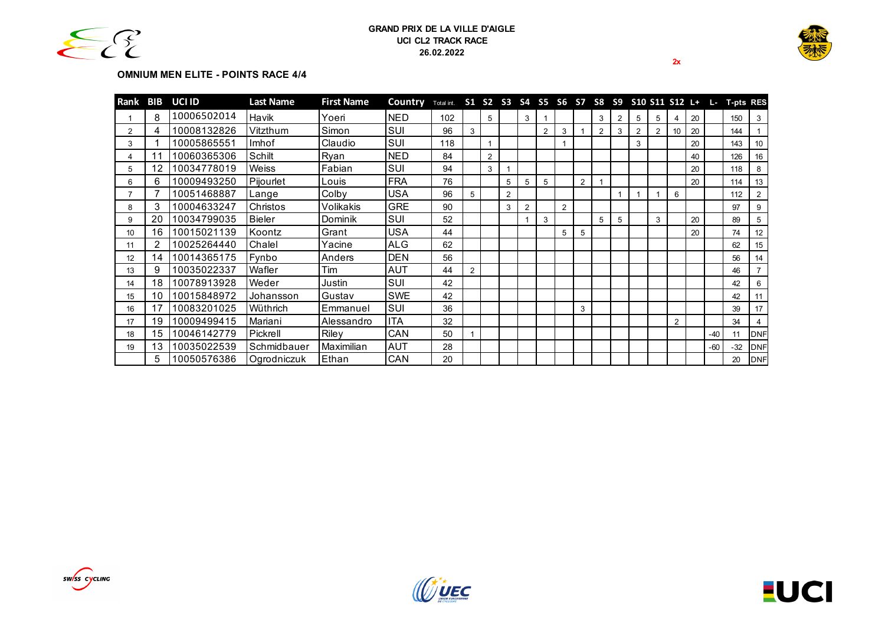



**2x**

#### **OMNIUM MEN ELITE - POINTS RACE 4/4**

| Rank | BIB | UCI ID      | <b>Last Name</b> | <b>First Name</b> | Country    | Total int. |                |                |                |   |   |   |                |                |   |   |                |                |    |       | S1 S2 S3 S4 S5 S6 S7 S8 S9 S10 S11 S12 L+ L- T-pts RES |                |
|------|-----|-------------|------------------|-------------------|------------|------------|----------------|----------------|----------------|---|---|---|----------------|----------------|---|---|----------------|----------------|----|-------|--------------------------------------------------------|----------------|
|      | 8   | 10006502014 | Havik            | Yoeri             | <b>NED</b> | 102        |                | 5              |                | 3 |   |   |                | 3              | 2 | 5 | 5              | 4              | 20 |       | 150                                                    | 3              |
| 2    |     | 10008132826 | Vitzthum         | Simon             | SUI        | 96         | 3              |                |                |   | 2 | 3 |                | $\overline{2}$ | 3 | 2 | $\overline{2}$ | 10             | 20 |       | 144                                                    |                |
| 3    |     | 10005865551 | Imhof            | Claudio           | SUI        | 118        |                |                |                |   |   |   |                |                |   | 3 |                |                | 20 |       | 143                                                    | 10             |
| 4    | 1   | 10060365306 | Schilt           | Ryan              | <b>NED</b> | 84         |                | $\overline{2}$ |                |   |   |   |                |                |   |   |                |                | 40 |       | 126                                                    | 16             |
| 5    | 12  | 10034778019 | <b>Weiss</b>     | Fabian            | SUI        | 94         |                | 3              |                |   |   |   |                |                |   |   |                |                | 20 |       | 118                                                    | 8              |
| 6    | 6.  | 10009493250 | Pijourlet        | Louis             | <b>FRA</b> | 76         |                |                | 5              | 5 | 5 |   | $\overline{2}$ |                |   |   |                |                | 20 |       | 114                                                    | 13             |
|      |     | 10051468887 | Lange            | Colby             | <b>USA</b> | 96         | 5              |                | $\overline{2}$ |   |   |   |                |                |   |   |                | 6              |    |       | 112                                                    | $\overline{2}$ |
| 8    |     | 10004633247 | Christos         | Volikakis         | <b>GRE</b> | 90         |                |                | 3              | 2 |   | 2 |                |                |   |   |                |                |    |       | 97                                                     | 9              |
| 9    | 20  | 10034799035 | <b>Bieler</b>    | Dominik           | SUI        | 52         |                |                |                |   | 3 |   |                | 5              | 5 |   | 3              |                | 20 |       | 89                                                     | -5             |
| 10   | 16  | 10015021139 | Koontz           | Grant             | <b>USA</b> | 44         |                |                |                |   |   | 5 | 5              |                |   |   |                |                | 20 |       | 74                                                     | 12             |
| 11   |     | 10025264440 | Chalel           | Yacine            | ALG        | 62         |                |                |                |   |   |   |                |                |   |   |                |                |    |       | 62                                                     | 15             |
| 12   | 14  | 10014365175 | Fynbo            | Anders            | <b>DEN</b> | 56         |                |                |                |   |   |   |                |                |   |   |                |                |    |       | 56                                                     | 14             |
| 13   | 9   | 10035022337 | Wafler           | Tim               | AUT        | 44         | $\overline{2}$ |                |                |   |   |   |                |                |   |   |                |                |    |       | 46                                                     |                |
| 14   | 18  | 10078913928 | Weder            | Justin            | <b>SUI</b> | 42         |                |                |                |   |   |   |                |                |   |   |                |                |    |       | 42                                                     | 6              |
| 15   | 10  | 10015848972 | Johansson        | Gustav            | SWE        | 42         |                |                |                |   |   |   |                |                |   |   |                |                |    |       | 42                                                     | 11             |
| 16   | 17  | 10083201025 | Wüthrich         | Emmanuel          | <b>SUI</b> | 36         |                |                |                |   |   |   | 3              |                |   |   |                |                |    |       | 39                                                     | 17             |
| 17   | 19  | 10009499415 | Mariani          | Alessandro        | ITA        | 32         |                |                |                |   |   |   |                |                |   |   |                | $\overline{2}$ |    |       | 34                                                     | $\overline{4}$ |
| 18   | 15  | 10046142779 | Pickrell         | <b>Rilev</b>      | CAN        | 50         |                |                |                |   |   |   |                |                |   |   |                |                |    | $-40$ | 11                                                     | <b>DNF</b>     |
| 19   | 13  | 10035022539 | Schmidbauer      | Maximilian        | <b>AUT</b> | 28         |                |                |                |   |   |   |                |                |   |   |                |                |    | $-60$ | $-32$                                                  | <b>DNF</b>     |
|      | 5.  | 10050576386 | Ogrodniczuk      | Ethan             | CAN        | 20         |                |                |                |   |   |   |                |                |   |   |                |                |    |       | 20                                                     | DNF            |